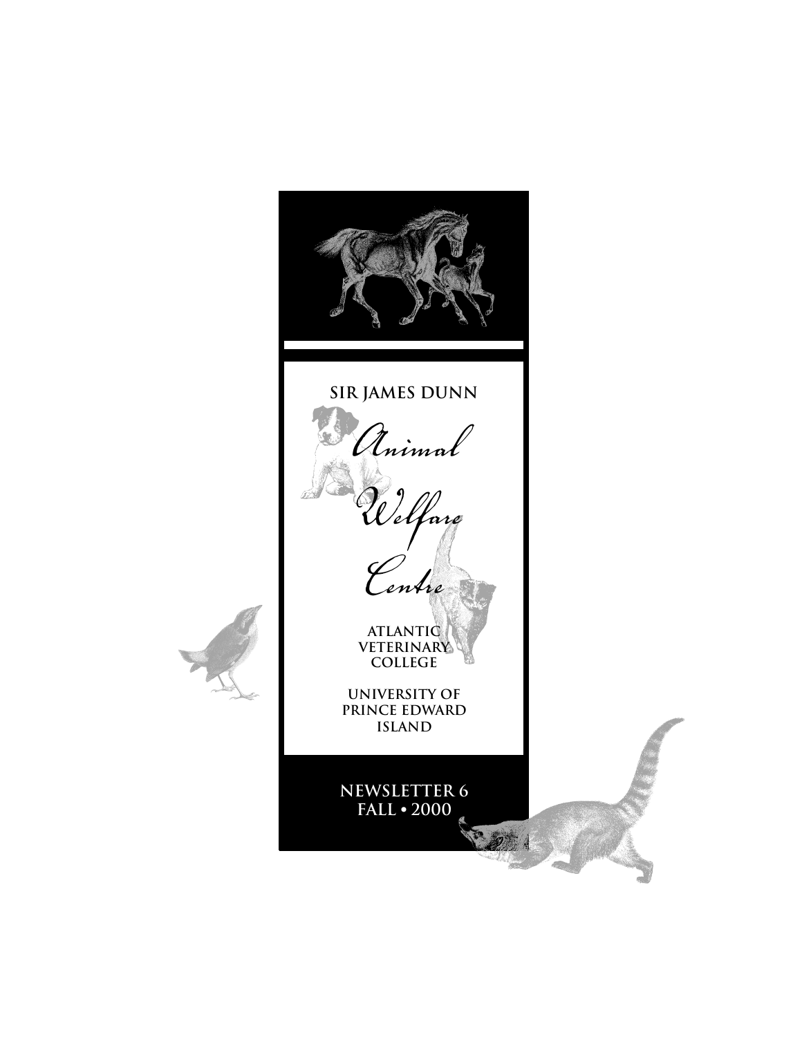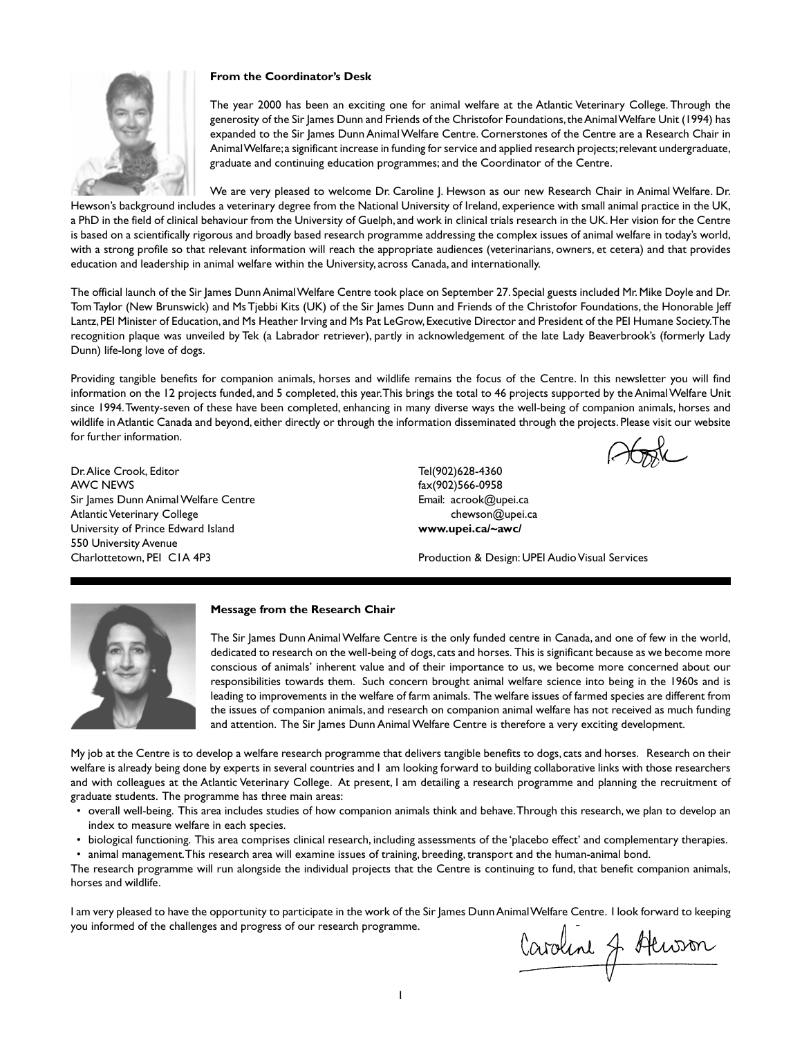

# **From the Coordinator's Desk**

The year 2000 has been an exciting one for animal welfare at the Atlantic Veterinary College. Through the generosity of the Sir James Dunn and Friends of the Christofor Foundations, the Animal Welfare Unit (1994) has expanded to the Sir James Dunn Animal Welfare Centre. Cornerstones of the Centre are a Research Chair in Animal Welfare; a significant increase in funding for service and applied research projects; relevant undergraduate, graduate and continuing education programmes; and the Coordinator of the Centre.

#### We are very pleased to welcome Dr. Caroline J. Hewson as our new Research Chair in Animal Welfare. Dr.

Hewson's background includes a veterinary degree from the National University of Ireland, experience with small animal practice in the UK, a PhD in the field of clinical behaviour from the University of Guelph, and work in clinical trials research in the UK. Her vision for the Centre is based on a scientifically rigorous and broadly based research programme addressing the complex issues of animal welfare in today's world, with a strong profile so that relevant information will reach the appropriate audiences (veterinarians, owners, et cetera) and that provides education and leadership in animal welfare within the University, across Canada, and internationally.

The official launch of the Sir James Dunn Animal Welfare Centre took place on September 27. Special guests included Mr. Mike Doyle and Dr. Tom Taylor (New Brunswick) and Ms Tjebbi Kits (UK) of the Sir James Dunn and Friends of the Christofor Foundations, the Honorable Jeff Lantz, PEI Minister of Education, and Ms Heather Irving and Ms Pat LeGrow, Executive Director and President of the PEI Humane Society. The recognition plaque was unveiled by Tek (a Labrador retriever), partly in acknowledgement of the late Lady Beaverbrook's (formerly Lady Dunn) life-long love of dogs.

Providing tangible benefits for companion animals, horses and wildlife remains the focus of the Centre. In this newsletter you will find information on the 12 projects funded, and 5 completed, this year. This brings the total to 46 projects supported by the Animal Welfare Unit since 1994. Twenty-seven of these have been completed, enhancing in many diverse ways the well-being of companion animals, horses and wildlife in Atlantic Canada and beyond, either directly or through the information disseminated through the projects. Please visit our website for further information.

Dr. Alice Crook, Editor AWC NEWS Sir James Dunn Animal Welfare Centre Atlantic Veterinary College University of Prince Edward Island 550 University Avenue Charlottetown, PEI C1A 4P3

Tel(902)628-4360 fax(902)566-0958 Email: acrook@upei.ca chewson@upei.ca **www.upei.ca/~awc/**

Production & Design: UPEI Audio Visual Services



#### **Message from the Research Chair**

The Sir James Dunn Animal Welfare Centre is the only funded centre in Canada, and one of few in the world, dedicated to research on the well-being of dogs, cats and horses. This is significant because as we become more conscious of animals' inherent value and of their importance to us, we become more concerned about our responsibilities towards them. Such concern brought animal welfare science into being in the 1960s and is leading to improvements in the welfare of farm animals. The welfare issues of farmed species are different from the issues of companion animals, and research on companion animal welfare has not received as much funding and attention. The Sir James Dunn Animal Welfare Centre is therefore a very exciting development.

My job at the Centre is to develop a welfare research programme that delivers tangible benefits to dogs, cats and horses. Research on their welfare is already being done by experts in several countries and I am looking forward to building collaborative links with those researchers and with colleagues at the Atlantic Veterinary College. At present, I am detailing a research programme and planning the recruitment of graduate students. The programme has three main areas:

- overall well-being. This area includes studies of how companion animals think and behave. Through this research, we plan to develop an index to measure welfare in each species.
- biological functioning. This area comprises clinical research, including assessments of the 'placebo effect' and complementary therapies.
- animal management. This research area will examine issues of training, breeding, transport and the human-animal bond.

The research programme will run alongside the individual projects that the Centre is continuing to fund, that benefit companion animals, horses and wildlife.

I am very pleased to have the opportunity to participate in the work of the Sir James Dunn Animal Welfare Centre. I look forward to keeping you informed of the challenges and progress of our research programme.

Caroline J. Henson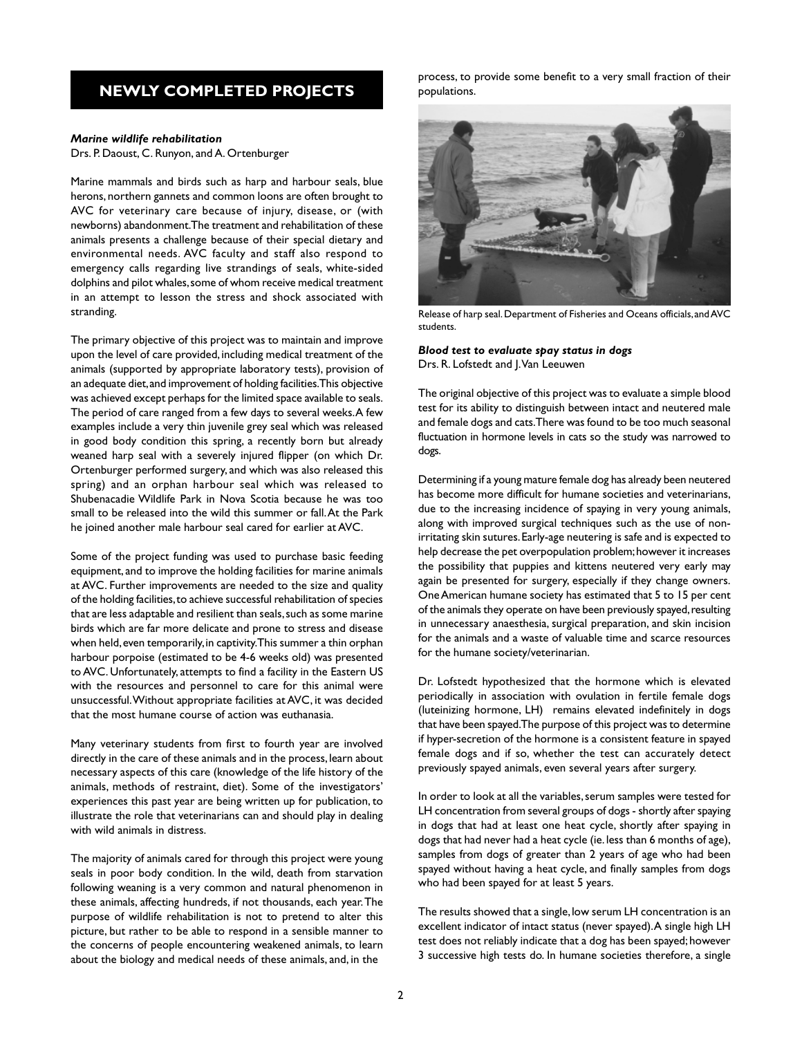# **NEWLY COMPLETED PROJECTS**

## *Marine wildlife rehabilitation*

Drs. P. Daoust, C. Runyon, and A. Ortenburger

Marine mammals and birds such as harp and harbour seals, blue herons, northern gannets and common loons are often brought to AVC for veterinary care because of injury, disease, or (with newborns) abandonment. The treatment and rehabilitation of these animals presents a challenge because of their special dietary and environmental needs. AVC faculty and staff also respond to emergency calls regarding live strandings of seals, white-sided dolphins and pilot whales, some of whom receive medical treatment in an attempt to lesson the stress and shock associated with stranding.

The primary objective of this project was to maintain and improve upon the level of care provided, including medical treatment of the animals (supported by appropriate laboratory tests), provision of an adequate diet, and improvement of holding facilities. This objective was achieved except perhaps for the limited space available to seals. The period of care ranged from a few days to several weeks. A few examples include a very thin juvenile grey seal which was released in good body condition this spring, a recently born but already weaned harp seal with a severely injured flipper (on which Dr. Ortenburger performed surgery, and which was also released this spring) and an orphan harbour seal which was released to Shubenacadie Wildlife Park in Nova Scotia because he was too small to be released into the wild this summer or fall. At the Park he joined another male harbour seal cared for earlier at AVC.

Some of the project funding was used to purchase basic feeding equipment, and to improve the holding facilities for marine animals at AVC. Further improvements are needed to the size and quality of the holding facilities, to achieve successful rehabilitation of species that are less adaptable and resilient than seals, such as some marine birds which are far more delicate and prone to stress and disease when held, even temporarily, in captivity. This summer a thin orphan harbour porpoise (estimated to be 4-6 weeks old) was presented to AVC. Unfortunately, attempts to find a facility in the Eastern US with the resources and personnel to care for this animal were unsuccessful. Without appropriate facilities at AVC, it was decided that the most humane course of action was euthanasia.

Many veterinary students from first to fourth year are involved directly in the care of these animals and in the process, learn about necessary aspects of this care (knowledge of the life history of the animals, methods of restraint, diet). Some of the investigators' experiences this past year are being written up for publication, to illustrate the role that veterinarians can and should play in dealing with wild animals in distress.

The majority of animals cared for through this project were young seals in poor body condition. In the wild, death from starvation following weaning is a very common and natural phenomenon in these animals, affecting hundreds, if not thousands, each year. The purpose of wildlife rehabilitation is not to pretend to alter this picture, but rather to be able to respond in a sensible manner to the concerns of people encountering weakened animals, to learn about the biology and medical needs of these animals, and, in the

process, to provide some benefit to a very small fraction of their populations.



Release of harp seal. Department of Fisheries and Oceans officials, and AVC students.

*Blood test to evaluate spay status in dogs* Drs. R. Lofstedt and J. Van Leeuwen

The original objective of this project was to evaluate a simple blood test for its ability to distinguish between intact and neutered male and female dogs and cats. There was found to be too much seasonal fluctuation in hormone levels in cats so the study was narrowed to dogs.

Determining if a young mature female dog has already been neutered has become more difficult for humane societies and veterinarians, due to the increasing incidence of spaying in very young animals, along with improved surgical techniques such as the use of nonirritating skin sutures. Early-age neutering is safe and is expected to help decrease the pet overpopulation problem; however it increases the possibility that puppies and kittens neutered very early may again be presented for surgery, especially if they change owners. One American humane society has estimated that 5 to 15 per cent of the animals they operate on have been previously spayed, resulting in unnecessary anaesthesia, surgical preparation, and skin incision for the animals and a waste of valuable time and scarce resources for the humane society/veterinarian.

Dr. Lofstedt hypothesized that the hormone which is elevated periodically in association with ovulation in fertile female dogs (luteinizing hormone, LH) remains elevated indefinitely in dogs that have been spayed. The purpose of this project was to determine if hyper-secretion of the hormone is a consistent feature in spayed female dogs and if so, whether the test can accurately detect previously spayed animals, even several years after surgery.

In order to look at all the variables, serum samples were tested for LH concentration from several groups of dogs - shortly after spaying in dogs that had at least one heat cycle, shortly after spaying in dogs that had never had a heat cycle (ie. less than 6 months of age), samples from dogs of greater than 2 years of age who had been spayed without having a heat cycle, and finally samples from dogs who had been spayed for at least 5 years.

The results showed that a single, low serum LH concentration is an excellent indicator of intact status (never spayed). A single high LH test does not reliably indicate that a dog has been spayed; however 3 successive high tests do. In humane societies therefore, a single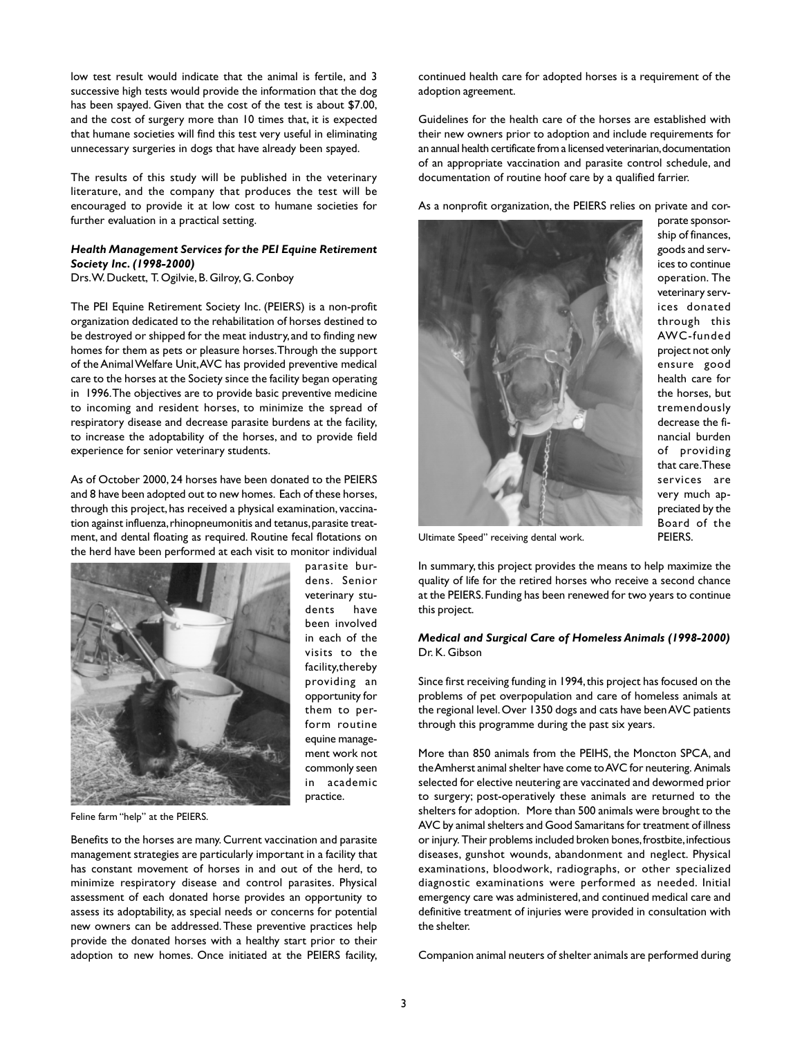low test result would indicate that the animal is fertile, and 3 successive high tests would provide the information that the dog has been spayed. Given that the cost of the test is about \$7.00, and the cost of surgery more than 10 times that, it is expected that humane societies will find this test very useful in eliminating unnecessary surgeries in dogs that have already been spayed.

The results of this study will be published in the veterinary literature, and the company that produces the test will be encouraged to provide it at low cost to humane societies for further evaluation in a practical setting.

## *Health Management Services for the PEI Equine Retirement Society Inc. (1998-2000)*

Drs. W. Duckett, T. Ogilvie, B. Gilroy, G. Conboy

The PEI Equine Retirement Society Inc. (PEIERS) is a non-profit organization dedicated to the rehabilitation of horses destined to be destroyed or shipped for the meat industry, and to finding new homes for them as pets or pleasure horses. Through the support of the Animal Welfare Unit, AVC has provided preventive medical care to the horses at the Society since the facility began operating in 1996. The objectives are to provide basic preventive medicine to incoming and resident horses, to minimize the spread of respiratory disease and decrease parasite burdens at the facility, to increase the adoptability of the horses, and to provide field experience for senior veterinary students.

As of October 2000, 24 horses have been donated to the PEIERS and 8 have been adopted out to new homes. Each of these horses, through this project, has received a physical examination, vaccination against influenza, rhinopneumonitis and tetanus, parasite treatment, and dental floating as required. Routine fecal flotations on the herd have been performed at each visit to monitor individual



parasite burdens. Senior veterinary students have been involved in each of the visits to the facility,thereby providing an opportunity for them to perform routine equine management work not commonly seen in academic practice.

Feline farm "help" at the PEIERS.

Benefits to the horses are many. Current vaccination and parasite management strategies are particularly important in a facility that has constant movement of horses in and out of the herd, to minimize respiratory disease and control parasites. Physical assessment of each donated horse provides an opportunity to assess its adoptability, as special needs or concerns for potential new owners can be addressed. These preventive practices help provide the donated horses with a healthy start prior to their adoption to new homes. Once initiated at the PEIERS facility,

continued health care for adopted horses is a requirement of the adoption agreement.

Guidelines for the health care of the horses are established with their new owners prior to adoption and include requirements for an annual health certificate from a licensed veterinarian, documentation of an appropriate vaccination and parasite control schedule, and documentation of routine hoof care by a qualified farrier.

As a nonprofit organization, the PEIERS relies on private and cor-



porate sponsorship of finances, goods and services to continue operation. The veterinary services donated through this AWC-funded project not only ensure good health care for the horses, but tremendously decrease the financial burden of providing that care. These services are very much appreciated by the Board of the PEIERS.

Ultimate Speed" receiving dental work.

In summary, this project provides the means to help maximize the quality of life for the retired horses who receive a second chance at the PEIERS. Funding has been renewed for two years to continue this project.

## *Medical and Surgical Care of Homeless Animals (1998-2000)* Dr. K. Gibson

Since first receiving funding in 1994, this project has focused on the problems of pet overpopulation and care of homeless animals at the regional level. Over 1350 dogs and cats have been AVC patients through this programme during the past six years.

More than 850 animals from the PEIHS, the Moncton SPCA, and the Amherst animal shelter have come to AVC for neutering. Animals selected for elective neutering are vaccinated and dewormed prior to surgery; post-operatively these animals are returned to the shelters for adoption. More than 500 animals were brought to the AVC by animal shelters and Good Samaritans for treatment of illness or injury. Their problems included broken bones, frostbite, infectious diseases, gunshot wounds, abandonment and neglect. Physical examinations, bloodwork, radiographs, or other specialized diagnostic examinations were performed as needed. Initial emergency care was administered, and continued medical care and definitive treatment of injuries were provided in consultation with the shelter.

Companion animal neuters of shelter animals are performed during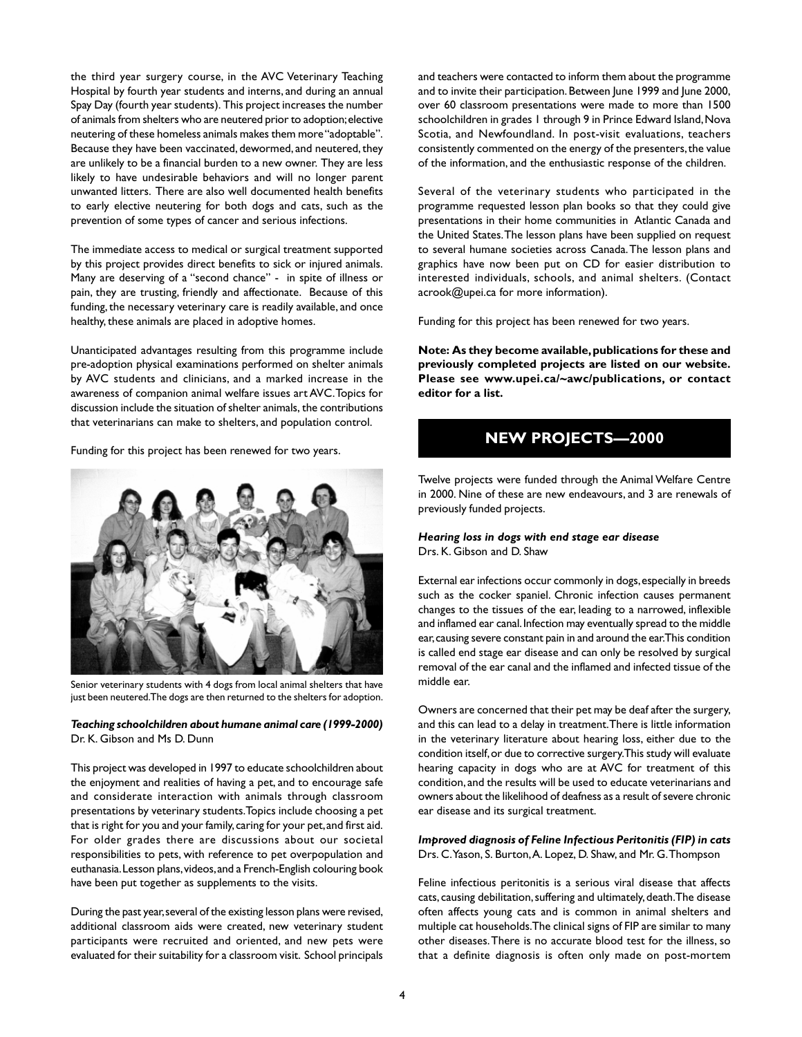the third year surgery course, in the AVC Veterinary Teaching Hospital by fourth year students and interns, and during an annual Spay Day (fourth year students). This project increases the number of animals from shelters who are neutered prior to adoption; elective neutering of these homeless animals makes them more "adoptable". Because they have been vaccinated, dewormed, and neutered, they are unlikely to be a financial burden to a new owner. They are less likely to have undesirable behaviors and will no longer parent unwanted litters. There are also well documented health benefits to early elective neutering for both dogs and cats, such as the prevention of some types of cancer and serious infections.

The immediate access to medical or surgical treatment supported by this project provides direct benefits to sick or injured animals. Many are deserving of a "second chance" - in spite of illness or pain, they are trusting, friendly and affectionate. Because of this funding, the necessary veterinary care is readily available, and once healthy, these animals are placed in adoptive homes.

Unanticipated advantages resulting from this programme include pre-adoption physical examinations performed on shelter animals by AVC students and clinicians, and a marked increase in the awareness of companion animal welfare issues art AVC. Topics for discussion include the situation of shelter animals, the contributions that veterinarians can make to shelters, and population control.

Funding for this project has been renewed for two years.



Senior veterinary students with 4 dogs from local animal shelters that have just been neutered. The dogs are then returned to the shelters for adoption.

*Teaching schoolchildren about humane animal care (1999-2000)* Dr. K. Gibson and Ms D. Dunn

This project was developed in 1997 to educate schoolchildren about the enjoyment and realities of having a pet, and to encourage safe and considerate interaction with animals through classroom presentations by veterinary students. Topics include choosing a pet that is right for you and your family, caring for your pet, and first aid. For older grades there are discussions about our societal responsibilities to pets, with reference to pet overpopulation and euthanasia. Lesson plans, videos, and a French-English colouring book have been put together as supplements to the visits.

During the past year, several of the existing lesson plans were revised, additional classroom aids were created, new veterinary student participants were recruited and oriented, and new pets were evaluated for their suitability for a classroom visit. School principals

and teachers were contacted to inform them about the programme and to invite their participation. Between June 1999 and June 2000, over 60 classroom presentations were made to more than 1500 schoolchildren in grades 1 through 9 in Prince Edward Island, Nova Scotia, and Newfoundland. In post-visit evaluations, teachers consistently commented on the energy of the presenters, the value of the information, and the enthusiastic response of the children.

Several of the veterinary students who participated in the programme requested lesson plan books so that they could give presentations in their home communities in Atlantic Canada and the United States. The lesson plans have been supplied on request to several humane societies across Canada. The lesson plans and graphics have now been put on CD for easier distribution to interested individuals, schools, and animal shelters. (Contact acrook@upei.ca for more information).

Funding for this project has been renewed for two years.

**Note: As they become available, publications for these and previously completed projects are listed on our website. Please see www.upei.ca/~awc/publications, or contact editor for a list.**

# **NEW PROJECTS—2000**

Twelve projects were funded through the Animal Welfare Centre in 2000. Nine of these are new endeavours, and 3 are renewals of previously funded projects.

## *Hearing loss in dogs with end stage ear disease* Drs. K. Gibson and D. Shaw

External ear infections occur commonly in dogs, especially in breeds such as the cocker spaniel. Chronic infection causes permanent changes to the tissues of the ear, leading to a narrowed, inflexible and inflamed ear canal. Infection may eventually spread to the middle ear, causing severe constant pain in and around the ear. This condition is called end stage ear disease and can only be resolved by surgical removal of the ear canal and the inflamed and infected tissue of the middle ear.

Owners are concerned that their pet may be deaf after the surgery, and this can lead to a delay in treatment. There is little information in the veterinary literature about hearing loss, either due to the condition itself, or due to corrective surgery. This study will evaluate hearing capacity in dogs who are at AVC for treatment of this condition, and the results will be used to educate veterinarians and owners about the likelihood of deafness as a result of severe chronic ear disease and its surgical treatment.

*Improved diagnosis of Feline Infectious Peritonitis (FIP) in cats* Drs. C. Yason, S. Burton, A. Lopez, D. Shaw, and Mr. G. Thompson

Feline infectious peritonitis is a serious viral disease that affects cats, causing debilitation, suffering and ultimately, death. The disease often affects young cats and is common in animal shelters and multiple cat households. The clinical signs of FIP are similar to many other diseases. There is no accurate blood test for the illness, so that a definite diagnosis is often only made on post-mortem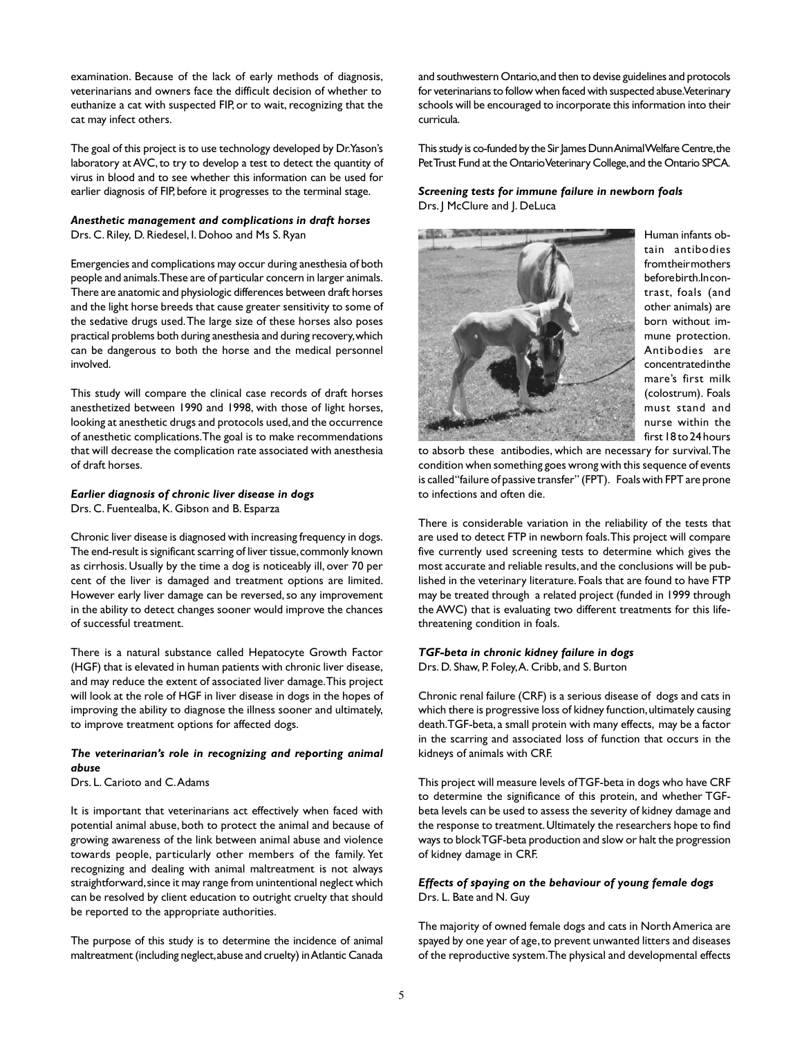examination. Because of the lack of early methods of diagnosis, veterinarians and owners face the difficult decision of whether to euthanize a cat with suspected FIP, or to wait, recognizing that the cat may infect others.

The goal of this project is to use technology developed by Dr. Yason's laboratory at AVC, to try to develop a test to detect the quantity of virus in blood and to see whether this information can be used for earlier diagnosis of FIP, before it progresses to the terminal stage.

# *Anesthetic management and complications in draft horses* Drs. C. Riley, D. Riedesel, I. Dohoo and Ms S. Ryan

Emergencies and complications may occur during anesthesia of both people and animals. These are of particular concern in larger animals. There are anatomic and physiologic differences between draft horses and the light horse breeds that cause greater sensitivity to some of the sedative drugs used. The large size of these horses also poses practical problems both during anesthesia and during recovery, which can be dangerous to both the horse and the medical personnel involved.

This study will compare the clinical case records of draft horses anesthetized between 1990 and 1998, with those of light horses, looking at anesthetic drugs and protocols used, and the occurrence of anesthetic complications. The goal is to make recommendations that will decrease the complication rate associated with anesthesia of draft horses.

# *Earlier diagnosis of chronic liver disease in dogs*

Drs. C. Fuentealba, K. Gibson and B. Esparza

Chronic liver disease is diagnosed with increasing frequency in dogs. The end-result is significant scarring of liver tissue, commonly known as cirrhosis. Usually by the time a dog is noticeably ill, over 70 per cent of the liver is damaged and treatment options are limited. However early liver damage can be reversed, so any improvement in the ability to detect changes sooner would improve the chances of successful treatment.

There is a natural substance called Hepatocyte Growth Factor (HGF) that is elevated in human patients with chronic liver disease, and may reduce the extent of associated liver damage. This project will look at the role of HGF in liver disease in dogs in the hopes of improving the ability to diagnose the illness sooner and ultimately, to improve treatment options for affected dogs.

# *The veterinarian's role in recognizing and reporting animal abuse*

Drs. L. Carioto and C. Adams

It is important that veterinarians act effectively when faced with potential animal abuse, both to protect the animal and because of growing awareness of the link between animal abuse and violence towards people, particularly other members of the family. Yet recognizing and dealing with animal maltreatment is not always straightforward, since it may range from unintentional neglect which can be resolved by client education to outright cruelty that should be reported to the appropriate authorities.

The purpose of this study is to determine the incidence of animal maltreatment (including neglect, abuse and cruelty) in Atlantic Canada

and southwestern Ontario, and then to devise guidelines and protocols for veterinarians to follow when faced with suspected abuse. Veterinary schools will be encouraged to incorporate this information into their curricula.

This study is co-funded by the Sir James Dunn Animal Welfare Centre, the Pet Trust Fund at the Ontario Veterinary College, and the Ontario SPCA.

# *Screening tests for immune failure in newborn foals* Drs. J McClure and J. DeLuca



Human infants obtain antibodies **from their mothers** before birth. In contrast, foals (and other animals) are born without immune protection. Antibodies are concentrated in the mare's first milk (colostrum). Foals must stand and nurse within the first 18 to 24 hours

to absorb these antibodies, which are necessary for survival. The condition when something goes wrong with this sequence of events is called "failure of passive transfer" (FPT). Foals with FPT are prone to infections and often die.

There is considerable variation in the reliability of the tests that are used to detect FTP in newborn foals. This project will compare five currently used screening tests to determine which gives the most accurate and reliable results, and the conclusions will be published in the veterinary literature. Foals that are found to have FTP may be treated through a related project (funded in 1999 through the AWC) that is evaluating two different treatments for this lifethreatening condition in foals.

# *TGF-beta in chronic kidney failure in dogs*

Drs. D. Shaw, P. Foley, A. Cribb, and S. Burton

Chronic renal failure (CRF) is a serious disease of dogs and cats in which there is progressive loss of kidney function, ultimately causing death. TGF-beta, a small protein with many effects, may be a factor in the scarring and associated loss of function that occurs in the kidneys of animals with CRF.

This project will measure levels of TGF-beta in dogs who have CRF to determine the significance of this protein, and whether TGFbeta levels can be used to assess the severity of kidney damage and the response to treatment. Ultimately the researchers hope to find ways to block TGF-beta production and slow or halt the progression of kidney damage in CRF.

# *Effects of spaying on the behaviour of young female dogs* Drs. L. Bate and N. Guy

The majority of owned female dogs and cats in North America are spayed by one year of age, to prevent unwanted litters and diseases of the reproductive system. The physical and developmental effects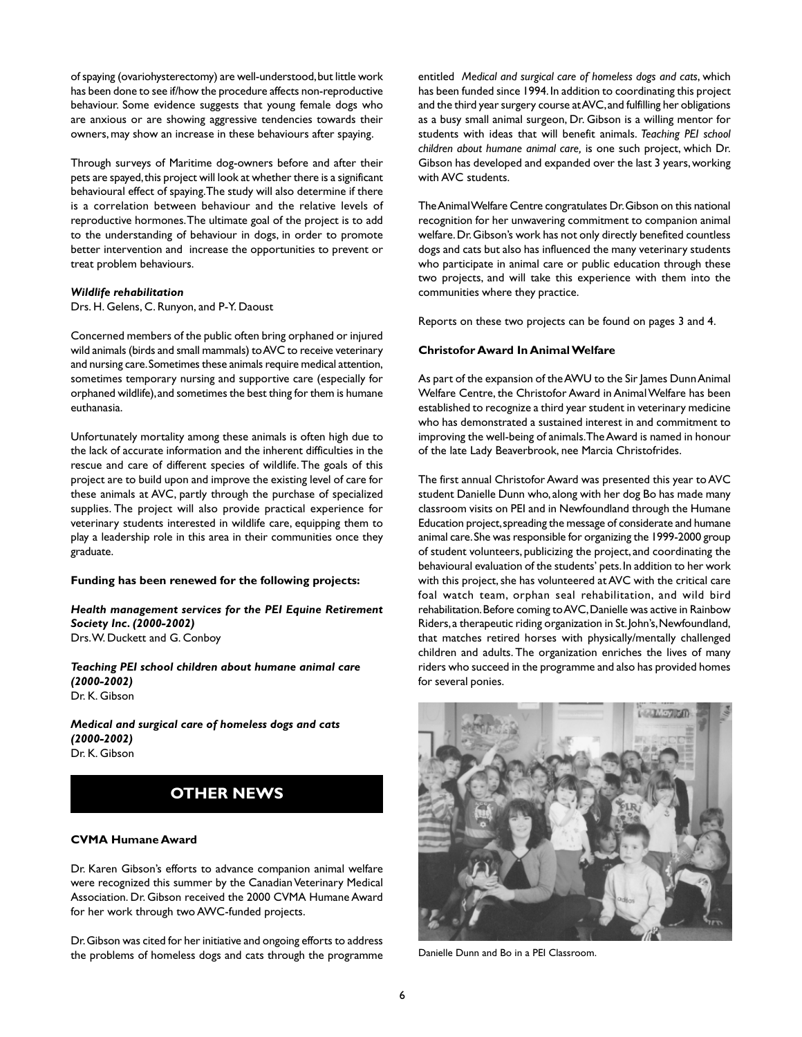of spaying (ovariohysterectomy) are well-understood, but little work has been done to see if/how the procedure affects non-reproductive behaviour. Some evidence suggests that young female dogs who are anxious or are showing aggressive tendencies towards their owners, may show an increase in these behaviours after spaying.

Through surveys of Maritime dog-owners before and after their pets are spayed, this project will look at whether there is a significant behavioural effect of spaying. The study will also determine if there is a correlation between behaviour and the relative levels of reproductive hormones. The ultimate goal of the project is to add to the understanding of behaviour in dogs, in order to promote better intervention and increase the opportunities to prevent or treat problem behaviours.

#### *Wildlife rehabilitation*

Drs. H. Gelens, C. Runyon, and P-Y. Daoust

Concerned members of the public often bring orphaned or injured wild animals (birds and small mammals) to AVC to receive veterinary and nursing care. Sometimes these animals require medical attention, sometimes temporary nursing and supportive care (especially for orphaned wildlife), and sometimes the best thing for them is humane euthanasia.

Unfortunately mortality among these animals is often high due to the lack of accurate information and the inherent difficulties in the rescue and care of different species of wildlife. The goals of this project are to build upon and improve the existing level of care for these animals at AVC, partly through the purchase of specialized supplies. The project will also provide practical experience for veterinary students interested in wildlife care, equipping them to play a leadership role in this area in their communities once they graduate.

#### **Funding has been renewed for the following projects:**

*Health management services for the PEI Equine Retirement Society Inc. (2000-2002)* Drs. W. Duckett and G. Conboy

*Teaching PEI school children about humane animal care (2000-2002)* Dr. K. Gibson

*Medical and surgical care of homeless dogs and cats (2000-2002)* Dr. K. Gibson

# **OTHER NEWS**

#### **CVMA Humane Award**

Dr. Karen Gibson's efforts to advance companion animal welfare were recognized this summer by the Canadian Veterinary Medical Association. Dr. Gibson received the 2000 CVMA Humane Award for her work through two AWC-funded projects.

Dr. Gibson was cited for her initiative and ongoing efforts to address the problems of homeless dogs and cats through the programme

entitled *Medical and surgical care of homeless dogs and cats*, which has been funded since 1994. In addition to coordinating this project and the third year surgery course at AVC, and fulfilling her obligations as a busy small animal surgeon, Dr. Gibson is a willing mentor for students with ideas that will benefit animals. *Teaching PEI school children about humane animal care,* is one such project, which Dr. Gibson has developed and expanded over the last 3 years, working with AVC students.

The Animal Welfare Centre congratulates Dr. Gibson on this national recognition for her unwavering commitment to companion animal welfare. Dr. Gibson's work has not only directly benefited countless dogs and cats but also has influenced the many veterinary students who participate in animal care or public education through these two projects, and will take this experience with them into the communities where they practice.

Reports on these two projects can be found on pages 3 and 4.

# **Christofor Award In Animal Welfare**

As part of the expansion of the AWU to the Sir James Dunn Animal Welfare Centre, the Christofor Award in Animal Welfare has been established to recognize a third year student in veterinary medicine who has demonstrated a sustained interest in and commitment to improving the well-being of animals. The Award is named in honour of the late Lady Beaverbrook, nee Marcia Christofrides.

The first annual Christofor Award was presented this year to AVC student Danielle Dunn who, along with her dog Bo has made many classroom visits on PEI and in Newfoundland through the Humane Education project, spreading the message of considerate and humane animal care. She was responsible for organizing the 1999-2000 group of student volunteers, publicizing the project, and coordinating the behavioural evaluation of the students' pets. In addition to her work with this project, she has volunteered at AVC with the critical care foal watch team, orphan seal rehabilitation, and wild bird rehabilitation. Before coming to AVC, Danielle was active in Rainbow Riders, a therapeutic riding organization in St. John's, Newfoundland, that matches retired horses with physically/mentally challenged children and adults. The organization enriches the lives of many riders who succeed in the programme and also has provided homes for several ponies.



Danielle Dunn and Bo in a PEI Classroom.